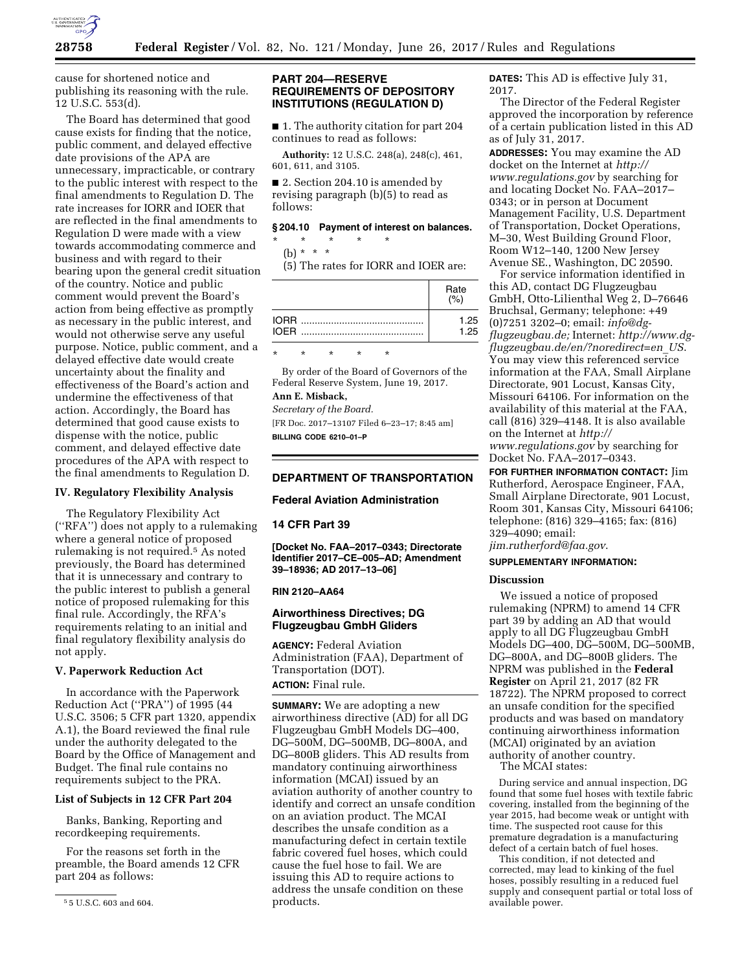

cause for shortened notice and publishing its reasoning with the rule. 12 U.S.C. 553(d).

The Board has determined that good cause exists for finding that the notice, public comment, and delayed effective date provisions of the APA are unnecessary, impracticable, or contrary to the public interest with respect to the final amendments to Regulation D. The rate increases for IORR and IOER that are reflected in the final amendments to Regulation D were made with a view towards accommodating commerce and business and with regard to their bearing upon the general credit situation of the country. Notice and public comment would prevent the Board's action from being effective as promptly as necessary in the public interest, and would not otherwise serve any useful purpose. Notice, public comment, and a delayed effective date would create uncertainty about the finality and effectiveness of the Board's action and undermine the effectiveness of that action. Accordingly, the Board has determined that good cause exists to dispense with the notice, public comment, and delayed effective date procedures of the APA with respect to the final amendments to Regulation D.

# **IV. Regulatory Flexibility Analysis**

The Regulatory Flexibility Act (''RFA'') does not apply to a rulemaking where a general notice of proposed rulemaking is not required.5 As noted previously, the Board has determined that it is unnecessary and contrary to the public interest to publish a general notice of proposed rulemaking for this final rule. Accordingly, the RFA's requirements relating to an initial and final regulatory flexibility analysis do not apply.

#### **V. Paperwork Reduction Act**

In accordance with the Paperwork Reduction Act (''PRA'') of 1995 (44 U.S.C. 3506; 5 CFR part 1320, appendix A.1), the Board reviewed the final rule under the authority delegated to the Board by the Office of Management and Budget. The final rule contains no requirements subject to the PRA.

# **List of Subjects in 12 CFR Part 204**

Banks, Banking, Reporting and recordkeeping requirements.

For the reasons set forth in the preamble, the Board amends 12 CFR part 204 as follows:

# **PART 204—RESERVE REQUIREMENTS OF DEPOSITORY INSTITUTIONS (REGULATION D)**

■ 1. The authority citation for part 204 continues to read as follows:

**Authority:** 12 U.S.C. 248(a), 248(c), 461, 601, 611, and 3105.

■ 2. Section 204.10 is amended by revising paragraph (b)(5) to read as follows:

#### **§ 204.10 Payment of interest on balances.**

 $\star$   $\star$   $\star$ (b) \* \* \* (5) The rates for IORR and IOER are:

| Rate<br>(%) |
|-------------|
| 1.25        |
| 1.25        |

By order of the Board of Governors of the Federal Reserve System, June 19, 2017.

# **Ann E. Misback,**

\* \* \* \* \*

*Secretary of the Board.*  [FR Doc. 2017–13107 Filed 6–23–17; 8:45 am] **BILLING CODE 6210–01–P** 

# **DEPARTMENT OF TRANSPORTATION**

# **Federal Aviation Administration**

**14 CFR Part 39** 

**[Docket No. FAA–2017–0343; Directorate Identifier 2017–CE–005–AD; Amendment 39–18936; AD 2017–13–06]** 

### **RIN 2120–AA64**

# **Airworthiness Directives; DG Flugzeugbau GmbH Gliders**

**AGENCY:** Federal Aviation Administration (FAA), Department of Transportation (DOT). **ACTION:** Final rule.

**SUMMARY:** We are adopting a new airworthiness directive (AD) for all DG Flugzeugbau GmbH Models DG–400, DG–500M, DG–500MB, DG–800A, and DG–800B gliders. This AD results from mandatory continuing airworthiness information (MCAI) issued by an aviation authority of another country to identify and correct an unsafe condition on an aviation product. The MCAI describes the unsafe condition as a manufacturing defect in certain textile fabric covered fuel hoses, which could cause the fuel hose to fail. We are issuing this AD to require actions to address the unsafe condition on these products.

**DATES:** This AD is effective July 31, 2017.

The Director of the Federal Register approved the incorporation by reference of a certain publication listed in this AD as of July 31, 2017.

**ADDRESSES:** You may examine the AD docket on the Internet at *[http://](http://www.regulations.gov)  [www.regulations.gov](http://www.regulations.gov)* by searching for and locating Docket No. FAA–2017– 0343; or in person at Document Management Facility, U.S. Department of Transportation, Docket Operations, M–30, West Building Ground Floor, Room W12–140, 1200 New Jersey Avenue SE., Washington, DC 20590.

For service information identified in this AD, contact DG Flugzeugbau GmbH, Otto-Lilienthal Weg 2, D–76646 Bruchsal, Germany; telephone: +49 (0)7251 3202–0; email: *[info@dg](mailto:info@dg-flugzeugbau.de)[flugzeugbau.de;](mailto:info@dg-flugzeugbau.de)* Internet: *[http://www.dg](http://www.dg-flugzeugbau.de/en/?noredirect=en_US)[flugzeugbau.de/en/?noredirect=en](http://www.dg-flugzeugbau.de/en/?noredirect=en_US)*\_*US*. You may view this referenced service information at the FAA, Small Airplane Directorate, 901 Locust, Kansas City, Missouri 64106. For information on the availability of this material at the FAA, call (816) 329–4148. It is also available on the Internet at *[http://](http://www.regulations.gov)  [www.regulations.gov](http://www.regulations.gov)* by searching for Docket No. FAA–2017–0343.

**FOR FURTHER INFORMATION CONTACT:** Jim Rutherford, Aerospace Engineer, FAA, Small Airplane Directorate, 901 Locust, Room 301, Kansas City, Missouri 64106; telephone: (816) 329–4165; fax: (816) 329–4090; email:

*[jim.rutherford@faa.gov](mailto:jim.rutherford@faa.gov)*.

# **SUPPLEMENTARY INFORMATION:**

## **Discussion**

We issued a notice of proposed rulemaking (NPRM) to amend 14 CFR part 39 by adding an AD that would apply to all DG Flugzeugbau GmbH Models DG–400, DG–500M, DG–500MB, DG–800A, and DG–800B gliders. The NPRM was published in the **Federal Register** on April 21, 2017 (82 FR 18722). The NPRM proposed to correct an unsafe condition for the specified products and was based on mandatory continuing airworthiness information (MCAI) originated by an aviation authority of another country.

The MCAI states:

During service and annual inspection, DG found that some fuel hoses with textile fabric covering, installed from the beginning of the year 2015, had become weak or untight with time. The suspected root cause for this premature degradation is a manufacturing defect of a certain batch of fuel hoses.

This condition, if not detected and corrected, may lead to kinking of the fuel hoses, possibly resulting in a reduced fuel supply and consequent partial or total loss of available power.

<sup>5</sup> 5 U.S.C. 603 and 604.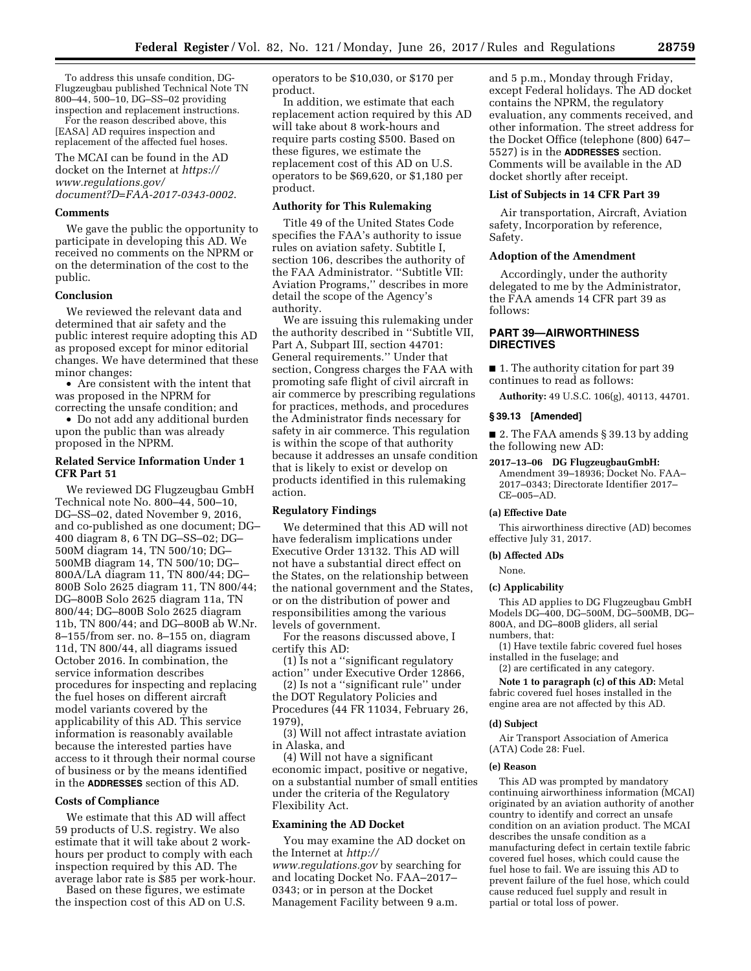To address this unsafe condition, DG-Flugzeugbau published Technical Note TN 800–44, 500–10, DG–SS–02 providing inspection and replacement instructions.

For the reason described above, this [EASA] AD requires inspection and replacement of the affected fuel hoses.

The MCAI can be found in the AD docket on the Internet at *[https://](https://www.regulations.gov/document?D=FAA-2017-0343-0002)  [www.regulations.gov/](https://www.regulations.gov/document?D=FAA-2017-0343-0002) [document?D=FAA-2017-0343-0002](https://www.regulations.gov/document?D=FAA-2017-0343-0002)*.

#### **Comments**

We gave the public the opportunity to participate in developing this AD. We received no comments on the NPRM or on the determination of the cost to the public.

# **Conclusion**

We reviewed the relevant data and determined that air safety and the public interest require adopting this AD as proposed except for minor editorial changes. We have determined that these minor changes:

• Are consistent with the intent that was proposed in the NPRM for correcting the unsafe condition; and

• Do not add any additional burden upon the public than was already proposed in the NPRM.

### **Related Service Information Under 1 CFR Part 51**

We reviewed DG Flugzeugbau GmbH Technical note No. 800–44, 500–10, DG–SS–02, dated November 9, 2016, and co-published as one document; DG– 400 diagram 8, 6 TN DG–SS–02; DG– 500M diagram 14, TN 500/10; DG– 500MB diagram 14, TN 500/10; DG– 800A/LA diagram 11, TN 800/44; DG– 800B Solo 2625 diagram 11, TN 800/44; DG–800B Solo 2625 diagram 11a, TN 800/44; DG–800B Solo 2625 diagram 11b, TN 800/44; and DG–800B ab W.Nr. 8–155/from ser. no. 8–155 on, diagram 11d, TN 800/44, all diagrams issued October 2016. In combination, the service information describes procedures for inspecting and replacing the fuel hoses on different aircraft model variants covered by the applicability of this AD. This service information is reasonably available because the interested parties have access to it through their normal course of business or by the means identified in the **ADDRESSES** section of this AD.

# **Costs of Compliance**

We estimate that this AD will affect 59 products of U.S. registry. We also estimate that it will take about 2 workhours per product to comply with each inspection required by this AD. The average labor rate is \$85 per work-hour.

Based on these figures, we estimate the inspection cost of this AD on U.S. operators to be \$10,030, or \$170 per product.

In addition, we estimate that each replacement action required by this AD will take about 8 work-hours and require parts costing \$500. Based on these figures, we estimate the replacement cost of this AD on U.S. operators to be \$69,620, or \$1,180 per product.

# **Authority for This Rulemaking**

Title 49 of the United States Code specifies the FAA's authority to issue rules on aviation safety. Subtitle I, section 106, describes the authority of the FAA Administrator. ''Subtitle VII: Aviation Programs,'' describes in more detail the scope of the Agency's authority.

We are issuing this rulemaking under the authority described in ''Subtitle VII, Part A, Subpart III, section 44701: General requirements.'' Under that section, Congress charges the FAA with promoting safe flight of civil aircraft in air commerce by prescribing regulations for practices, methods, and procedures the Administrator finds necessary for safety in air commerce. This regulation is within the scope of that authority because it addresses an unsafe condition that is likely to exist or develop on products identified in this rulemaking action.

# **Regulatory Findings**

We determined that this AD will not have federalism implications under Executive Order 13132. This AD will not have a substantial direct effect on the States, on the relationship between the national government and the States, or on the distribution of power and responsibilities among the various levels of government.

For the reasons discussed above, I certify this AD:

(1) Is not a ''significant regulatory action'' under Executive Order 12866,

(2) Is not a ''significant rule'' under the DOT Regulatory Policies and Procedures (44 FR 11034, February 26, 1979),

(3) Will not affect intrastate aviation in Alaska, and

(4) Will not have a significant economic impact, positive or negative, on a substantial number of small entities under the criteria of the Regulatory Flexibility Act.

#### **Examining the AD Docket**

You may examine the AD docket on the Internet at *[http://](http://www.regulations.gov) [www.regulations.gov](http://www.regulations.gov)* by searching for and locating Docket No. FAA–2017– 0343; or in person at the Docket Management Facility between 9 a.m.

and 5 p.m., Monday through Friday, except Federal holidays. The AD docket contains the NPRM, the regulatory evaluation, any comments received, and other information. The street address for the Docket Office (telephone (800) 647– 5527) is in the **ADDRESSES** section. Comments will be available in the AD docket shortly after receipt.

### **List of Subjects in 14 CFR Part 39**

Air transportation, Aircraft, Aviation safety, Incorporation by reference, Safety.

### **Adoption of the Amendment**

Accordingly, under the authority delegated to me by the Administrator, the FAA amends 14 CFR part 39 as follows:

# **PART 39—AIRWORTHINESS DIRECTIVES**

■ 1. The authority citation for part 39 continues to read as follows:

**Authority:** 49 U.S.C. 106(g), 40113, 44701.

#### **§ 39.13 [Amended]**

■ 2. The FAA amends § 39.13 by adding the following new AD:

#### **2017–13–06 DG FlugzeugbauGmbH:**  Amendment 39–18936; Docket No. FAA– 2017–0343; Directorate Identifier 2017– CE–005–AD.

#### **(a) Effective Date**

This airworthiness directive (AD) becomes effective July 31, 2017.

#### **(b) Affected ADs**

None.

### **(c) Applicability**

This AD applies to DG Flugzeugbau GmbH Models DG–400, DG–500M, DG–500MB, DG– 800A, and DG–800B gliders, all serial numbers, that:

(1) Have textile fabric covered fuel hoses installed in the fuselage; and

(2) are certificated in any category.

**Note 1 to paragraph (c) of this AD:** Metal fabric covered fuel hoses installed in the engine area are not affected by this AD.

#### **(d) Subject**

Air Transport Association of America (ATA) Code 28: Fuel.

### **(e) Reason**

This AD was prompted by mandatory continuing airworthiness information (MCAI) originated by an aviation authority of another country to identify and correct an unsafe condition on an aviation product. The MCAI describes the unsafe condition as a manufacturing defect in certain textile fabric covered fuel hoses, which could cause the fuel hose to fail. We are issuing this AD to prevent failure of the fuel hose, which could cause reduced fuel supply and result in partial or total loss of power.